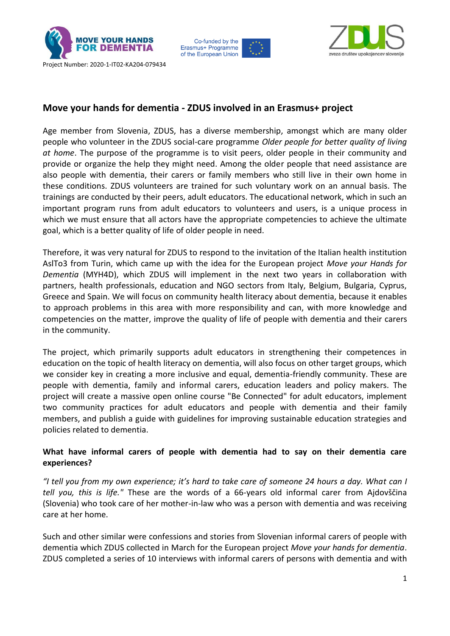





## **Move your hands for dementia - ZDUS involved in an Erasmus+ project**

Age member from Slovenia, ZDUS, has a diverse membership, amongst which are many older people who volunteer in the ZDUS social-care programme *Older people for better quality of living at home*. The purpose of the programme is to visit peers, older people in their community and provide or organize the help they might need. Among the older people that need assistance are also people with dementia, their carers or family members who still live in their own home in these conditions. ZDUS volunteers are trained for such voluntary work on an annual basis. The trainings are conducted by their peers, adult educators. The educational network, which in such an important program runs from adult educators to volunteers and users, is a unique process in which we must ensure that all actors have the appropriate competencies to achieve the ultimate goal, which is a better quality of life of older people in need.

Therefore, it was very natural for ZDUS to respond to the invitation of the Italian health institution AslTo3 from Turin, which came up with the idea for the European project *Move your Hands for Dementia* (MYH4D), which ZDUS will implement in the next two years in collaboration with partners, health professionals, education and NGO sectors from Italy, Belgium, Bulgaria, Cyprus, Greece and Spain. We will focus on community health literacy about dementia, because it enables to approach problems in this area with more responsibility and can, with more knowledge and competencies on the matter, improve the quality of life of people with dementia and their carers in the community.

The project, which primarily supports adult educators in strengthening their competences in education on the topic of health literacy on dementia, will also focus on other target groups, which we consider key in creating a more inclusive and equal, dementia-friendly community. These are people with dementia, family and informal carers, education leaders and policy makers. The project will create a massive open online course "Be Connected" for adult educators, implement two community practices for adult educators and people with dementia and their family members, and publish a guide with guidelines for improving sustainable education strategies and policies related to dementia.

## **What have informal carers of people with dementia had to say on their dementia care experiences?**

*"I tell you from my own experience; it's hard to take care of someone 24 hours a day. What can I tell you, this is life."* These are the words of a 66-years old informal carer from Ajdovščina (Slovenia) who took care of her mother-in-law who was a person with dementia and was receiving care at her home.

Such and other similar were confessions and stories from Slovenian informal carers of people with dementia which ZDUS collected in March for the European project *Move your hands for dementia*. ZDUS completed a series of 10 interviews with informal carers of persons with dementia and with